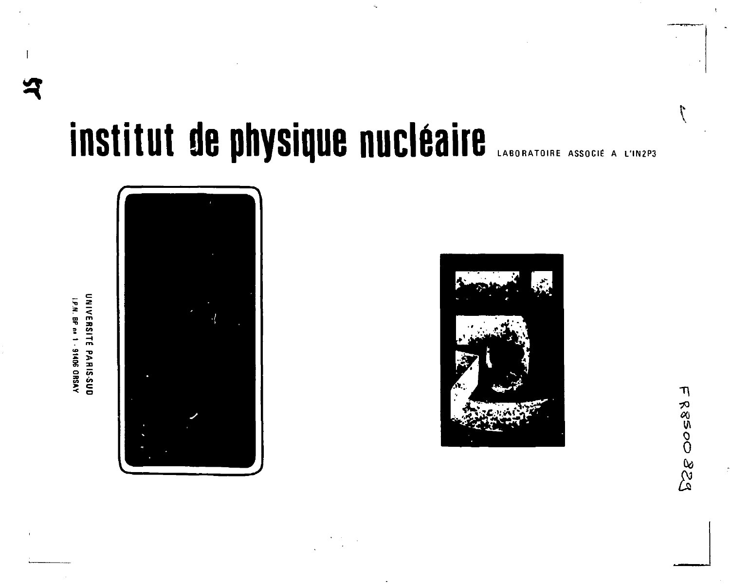# institut de physique nucléaire

UNIVERSITE PARIS-SUD IP.N. BP no 1 - 91406 ORSAY





FR8500323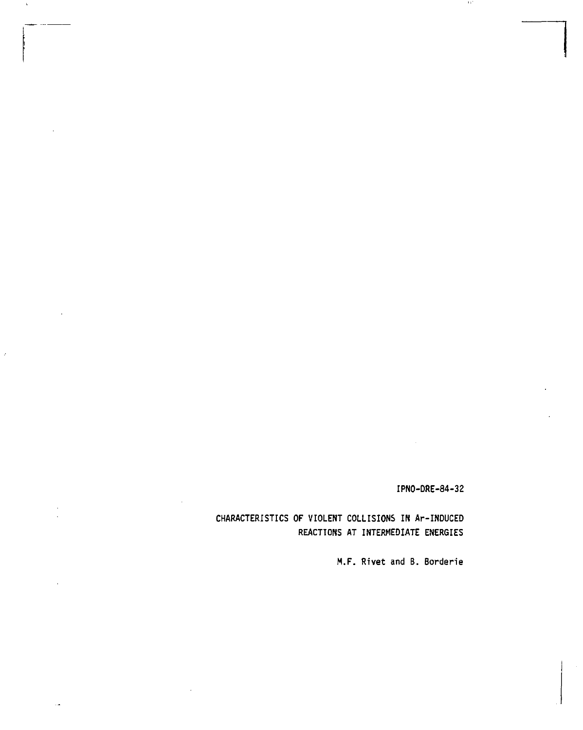**IPNO-DRE-84-32** 

 $\pm 1$ 

**CHARACTERISTICS OF VIOLENT COLLISIONS IN Ar-INDUCED REACTIONS AT INTERMEDIATE ENERGIES** 

**M.F. Rivet and B. Borderie**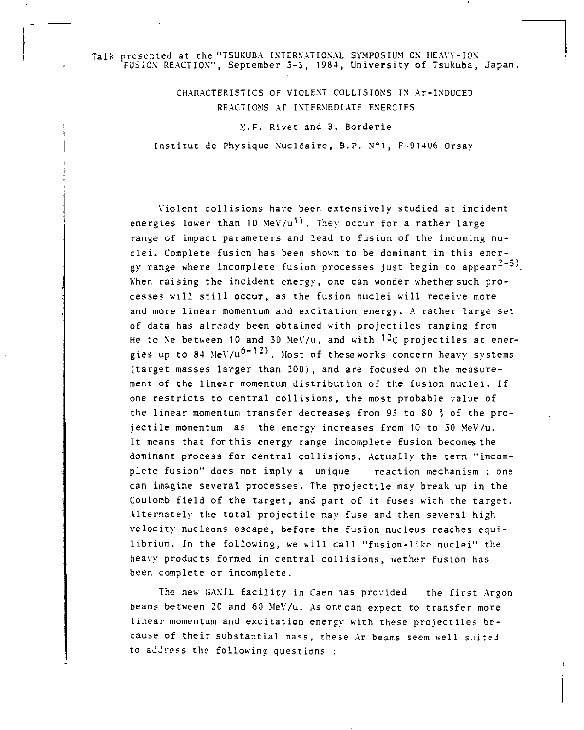## Talk presented at the "TSUKUBA INTERNATIONAL SYMPOSIUM ON HEAVY-ION 'FUSION REACTION", September 3-5, 1984, University of Tsukuba, Japan

CHARACTERISTICS OF VIOLENT COLLISIONS IN Ar-INDUCED REACTIONS AT INTERMEDIATE ENERGIES

M.F. Rivet and B. Borderie

Institut de Physique Nucléaire, B.P. N"l, F-91406 Orsay

Violent collisions have been extensively studied at incident energies lower than 10 MeV/u<sup>1)</sup>. They occur for a rather large range of impact parameters and lead to fusion of the incoming nuclei. Complete fusion has been shown to be dominant in this energy range where incomplete fusion processes just begin to appear<sup>--</sup> Khen raising the incident energy, one can wonder whether such processes will still occur, as the fusion nuclei will receive more and more linear momentum and excitation energy. A rather large set of data has already been obtained with projectiles ranging from He to Ne between 10 and 30 MeV/u, and with  $^{12}C$  projectiles at energies up to 84 MeV/ $u^{6-12}$ . Most of theseworks concern heavy systems (target masses larger than 200) , and are focused on the measurement of the linear momentum distribution of the fusion nuclei. If one restricts to central collisions, the most probable value of the linear momentum transfer decreases from 93 to 80 » of the projectile momentum as the energy increases from 10 to 30 MeV/u. It means that for this energy range incomplete fusion becomes the dominant process for central collisions. Actually the term "incomplete fusion" does not imply a unique reaction mechanism ; one can imagine several processes. The projectile may break up in the Coulomb field of the target, and part of it fuses with the target. Alternately the total projectile may fuse and then several high velocity nucleons escape, before the fusion nucleus reaches equilibrium. In the following, we will call "fusion-like nuclei" the heavy products formed in central collisions, wether fusion has been complete or incomplete.

The new GANIL facility in Caen has provided the first Argon Deans between 20 and 60 MeV/u. As one can expect to transfer more linear momentum and excitation energy with these projectiles because of their substantial mass, these Ar beams seem well suited to address the following questions :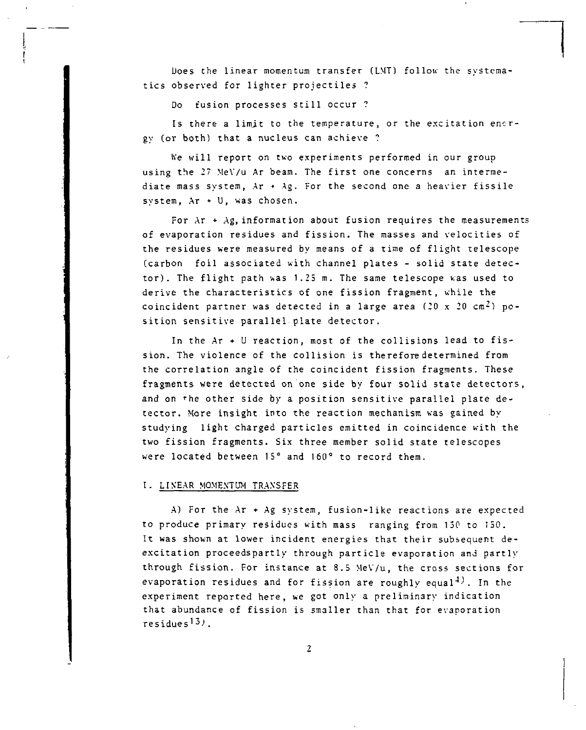Does the linear momentum transfer (LMT) follow the systematics observed for lighter projectiles ?

Do fusion processes still occur ?

Is there a limit to the temperature, or the excitation energy (or both) that a nucleus can achieve ?

We will report on two experiments performed in our group using the 2? MeV/u Ar beam. The first one concerns an intermediate mass system, Ar • Ag. For the second one a heavier fissile system, Ar + U, was chosen.

For  $Ar + Ag$ , information about fusion requires the measurements of evaporation residues and fission. The masses and velocities of the residues were measured by means of a time of flight telescope (carbon foil associated with channel plates - solid state detector). The flight path was 1.25 m. The same telescope was used to derive the characteristics of one fission fragment, while the coincident partner was detected in a large area (20 x 20  $cm<sup>2</sup>$ ) position sensitive parallel plate detector.

In the Ar + U reaction, most of the collisions lead to fission. The violence of the collision is therefore determined from the correlation angle of the coincident fission fragments. These fragments were detected on one side by four solid state detectors, and on 'he other side by a position sensitive parallel plate detector. More insight into the reaction mechanism was gained by studying light charged particles emitted in coincidence with the two fission fragments. Six three member solid state telescopes were located between 15° and 160° to record them.

## I. LINEAR MOMENTUM TRANSFER

A) For the  $Ar + Ag$  system, fusion-like reactions are expected to produce primary residues with mass ranging from 130 to 150. It was shown at lower incident energies that their subsequent deexcitation proceedspartly through particle evaporation and partly through fission. For instance at 8.5 MeV/u, the cross sections for evaporation residues and for fission are roughly equal<sup>4)</sup>. In the experiment reported here, we got only a preliminary indication that abundance of fission is smaller than that for evaporation residues<sup>1</sup> *<sup>ù</sup>> .*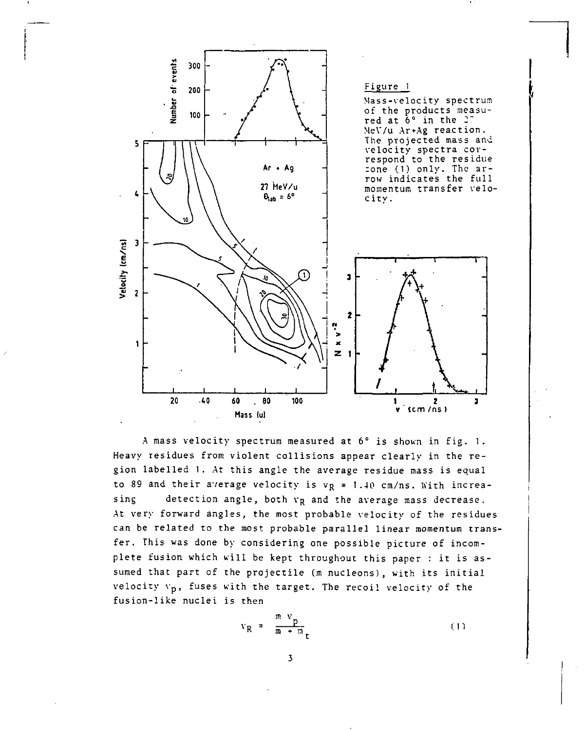

A mass velocity spectrum measured at 6° is shown in fig. 1. Heavy residues from violent collisions appear clearly in the region labelled 1. At this angle the average residue mass is equal to 89 and their average velocity is  $v_R = 1.40$  cm/ns. With increasing detection angle, both  $v_R$  and the average mass decrease. At very forward angles, the most probable velocity of the residues can be related to the most probable parallel linear momentum transfer. This was done by considering one possible picture of incomplete fusion which will be kept throughout this paper : it is assumed that part of the projectile (m nucleons), with its initial velocity  $v_p$ , fuses with the target. The recoil velocity of the fusion-like nuclei is then

$$
v_R = \frac{m}{m} \frac{v_p}{m + m} \tag{1}
$$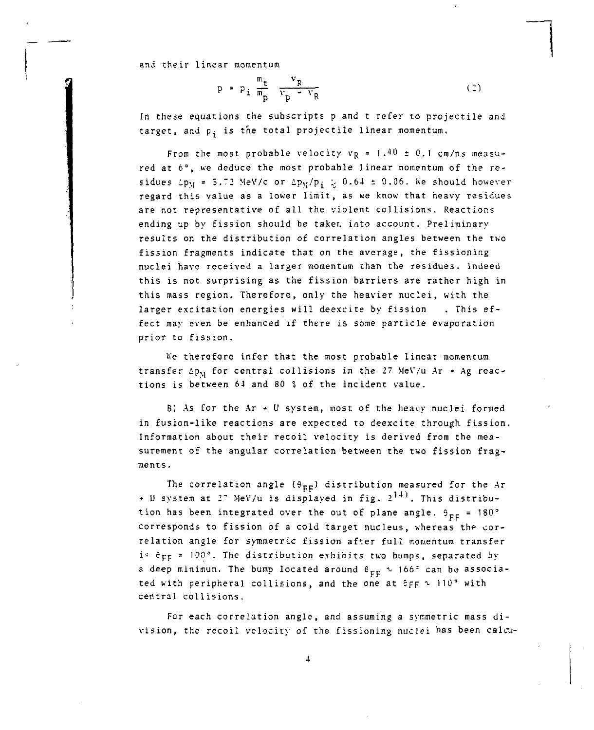and their linear momentum

$$
p = p_{i} \frac{m_{t}}{m_{p}} \frac{v_{R}}{v_{p} - v_{R}}
$$
 (2)

In these equations the subscripts p and t refer to projectile and target, and p<sub>:</sub> is the total projectile linear momentum.

From the most probable velocity  $v_R = 1.40 \pm 0.1$  cm/ns measured at 6°, we deduce the most probable linear momentum of the residues  $\Delta p_M = 5.72$  MeV/c or  $\Delta p_M/p^2$  ; 0.64 ± 0.06. We should however regard this value as a lower limit, as we know that heavy residues are not representative of all the violent collisions. Reactions ending up by fission should be taker, into account. Preliminary results on the distribution of correlation angles between the two fission fragments indicate that on the average, the fissioning nuclei have received a larger momentum than the residues. Indeed this is not surprising as the fission barriers are rather high in this mass region. Therefore, only the heavier nuclei, with the larger excitation energies will deexcite by fission . This effect may even be enhanced if there is some particle evaporation prior to fission.

he therefore infer that the most probable linear momentum transfer  $\Delta p_{\rm M}$  for central collisions in the 27 MeV/u Ar + Ag reactions is between 61 and 80 *%* of the incident value.

B) As for the Ar + U system, most of the heavy nuclei formed in fusion-like reactions are expected to deexcite through fission. Information about their recoil velocity is derived from the measurement of the angular correlation between the two fission fragments.

The correlation angle  $(\theta_{EF})$  distribution measured for the Ar + U system at 27 MeV/u is displayed in fig.  $2^{14}$ . This distribution has been integrated over the out of plane angle.  $9_{EF}$  = 180° corresponds to fission of a cold target nucleus, whereas the correlation angle for symmetric fission after full momentum transfer is  $\hat{\epsilon}_{FF}$  = 100°. The distribution exhibits two bumps, separated by a deep minimum. The bump located around  $\theta_{FF} \sim 166^{\circ}$  can be associated with peripheral collisions, and the one at  $6F_F \sim 110^5$  with central collisions.

For each correlation angle, and assuming a symmetric mass division, the recoil velocity of the fissioning nuclei bas been calcu-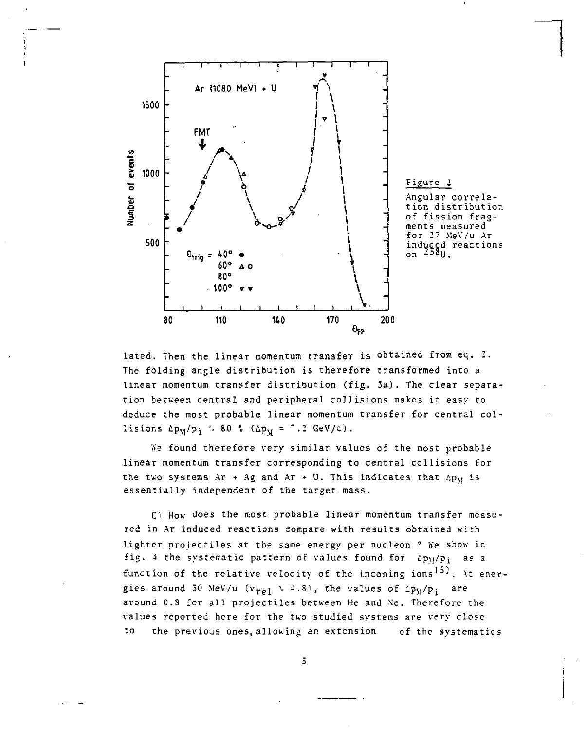

lated. Then the linear momentum transfer is obtained from ec. *I.*  The folding angle distribution is therefore transformed into a linear momentum transfer distribution (fig. 3a). The clear separation between central and peripheral collisions makes it easy to deduce the most probable linear momentum transfer for central collisions  $\Delta p_M/p_i \sim 80$  % ( $\Delta p_M =$  ".2 GeV/c).

We found therefore very similar values of the most probable linear momentum transfer corresponding to central collisions for the two systems  $Ar + Ae$  and  $Ar + U$ . This indicates that  $\Delta Du$  is essentially independent of the target mass.

C) How does the most probable linear momentum transfer measured in Ar induced reactions compare with results obtained with lighter projectiles at the same energy per nucleon ? We show in fig. 4 the systematic pattern of values found for  $\Delta p_M/p_i$  as a function of the relative velocity of the incoming ions<sup>15)</sup>. At energies around 30 MeV/u ( $v_{\text{rel}} \sim 4.8$ ), the values of  $\text{Lp}_M/p_i$  are around O.S for all projectiles between He and Ne. Therefore the values reported here for the two studied systems are very close to the previous ones, allowing an extension of the systematics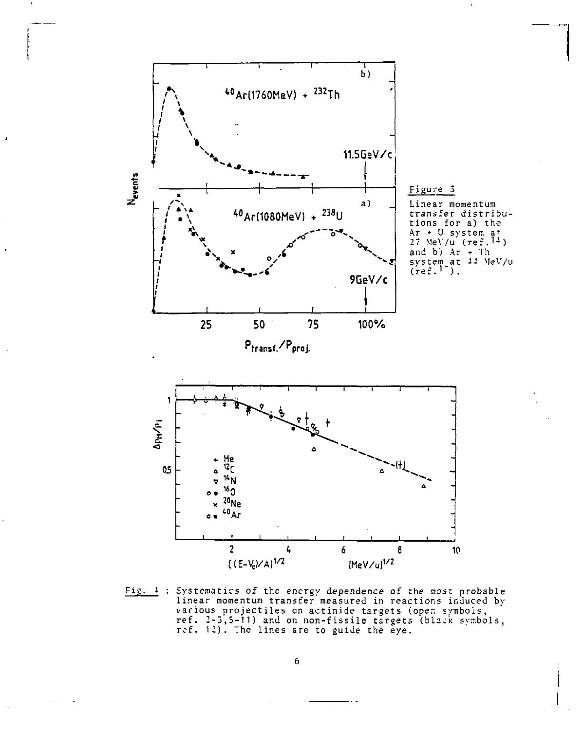

Fig. 4 : Systematica of the energy dependence of the most probable linear momentum transfer measured in reactions induced by various projectiles on actinide targets (open symbols,<br>ref. 2-3,5-11) and on non-fissile targets (black symbols,<br>ref. 12). The lines are to guide the eye.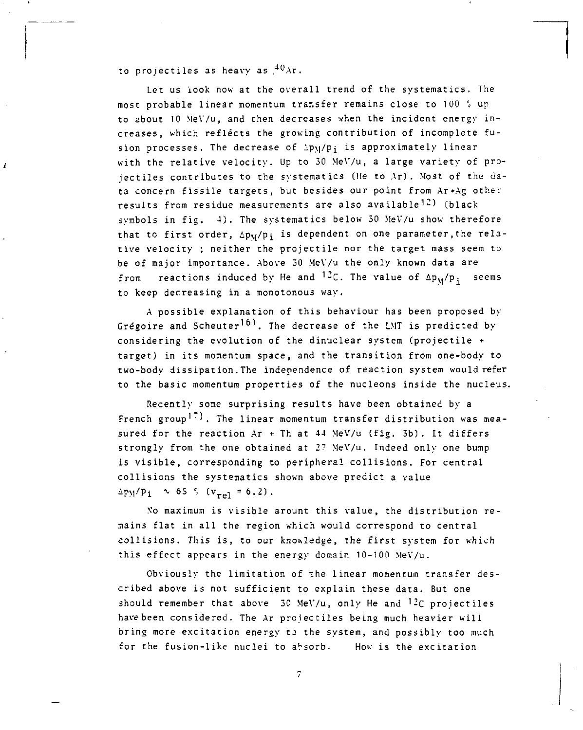to projectiles as heavy as  $^{40}$ Ar.

Let us look now at the overall trend of the systematics. The most probable linear momentum transfer remains close to 100 % up to about 10 MeV/u, and then decreases when the incident energy increases, which reflects the growing contribution of incomplete fusion processes. The decrease of  $\text{hyp}_i$  is approximately linear with the relative velocity. Up to 30 MeV/u, a large variety of projectiles contributes to the systematics (He to Ar) . Most of the data concern fissile targets, but besides our point from Ar+Ag other results from residue measurements are also available<sup>12</sup>) (black symbols in fig. 4). The systematics below 50 MeV/u show therefore that to first order,  $\Delta p_M/p_i$  is dependent on one parameter, the relative velocity ; neither the projectile nor the target mass seem to be of major importance. Above 50 MeV/u the only known data are from reactions induced by He and <sup>12</sup>C. The value of  $\Delta p_M/p_i$  seems to keep decreasing in a monotonous way.

A possible explanation of this behaviour has been proposed by Grégoire and Scheuter<sup>16)</sup>. The decrease of the LMT is predicted by considering the evolution of the dinuclear system (projectile • target) in its momentum space, and the transition from one-body to two-body dissipation. The independence of reaction system would refer to the basic momentum properties of the nucleons inside the nucleus.

Recently some surprising results have been obtained by a French group<sup>17</sup>). The linear momentum transfer distribution was measured for the reaction Ar + Th at 44 MeV/u (fig. 3b). It differs strongly from the one obtained at 27 MeV/u. Indeed only one bump is visible, corresponding to peripheral collisions. For central collisions the systematics shown above predict a value  $\Delta$ p<sub>M</sub>/p<sub>i</sub> ~ 65 <sup>2</sup> (v<sub>re1</sub> = 6.2).

\'o maximum is visible arount this value, the distribution remains flat in all the region which would correspond to central collisions. This is, to our knowledge, the first system for which this effect appears in the energy domain 10-100 MeV/u.

Obviously the limitation of the linear momentum transfer described above is not sufficient to explain these data. But one should remember that above 30 MeV/u, only He and  $^{12}C$  projectiles have been considered. The Ar projectiles being much heavier will bring more excitation energy to the system, and possibly too much for the fusion-like nuclei to absorb. How is the excitation

 $\overline{\phantom{a}}$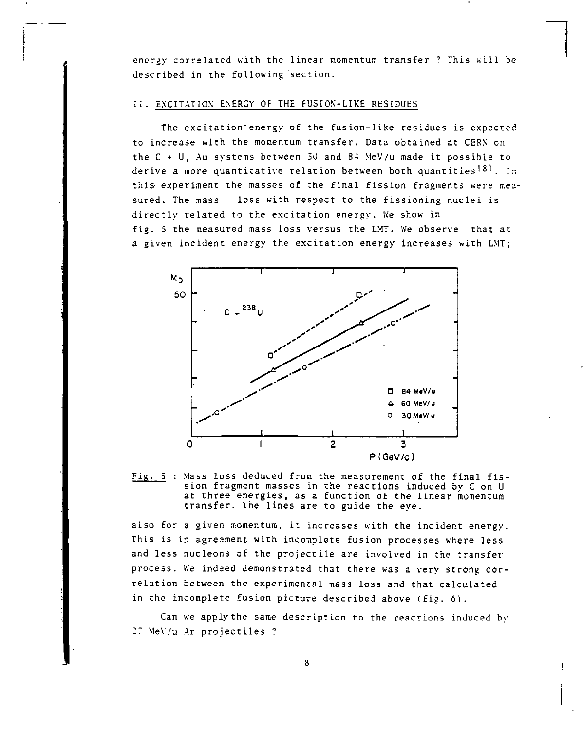energy correlated with the linear momentum transfer This will be described in the following section.

### II. EXCITATION ENERGY OF THE FUSION-LIKE RESIDUES

The excitation energy of the fusion-like residues is expected to increase with the momentum transfer. Data obtained at CERN on the C + U, Au systems between 3U and 84 MeV/u made it possible to derive a more quantitative relation between both quantities<sup>18)</sup>. In this experiment the masses of the final fission fragments were measured. The mass loss with respect to the fissioning nuclei is directly related to the excitation energy. We show in fig. 5 the measured mass loss versus the LMT. We observe that at a given incident energy the excitation energy increases with LMT;



 $Fig. 5$ : Mass loss deduced from the measurement of the final fis-</u> sion fragment masses in the reactions induced by C on U at three energies, as a function of the linear momentum transfer. The lines are to guide the eye.

also for a given momentum, it increases with the incident energy. This is in agreement with incomplete fusion processes where less and less nucleons of the projectile are involved in the transfer process. Ke indeed demonstrated that there was a very strong correlation between the experimental mass loss and that calculated in the incomplete fusion picture described above (fig. 6).

Can we apply the same description to the reactions induced by  $27$  MeV/u Ar projectiles ?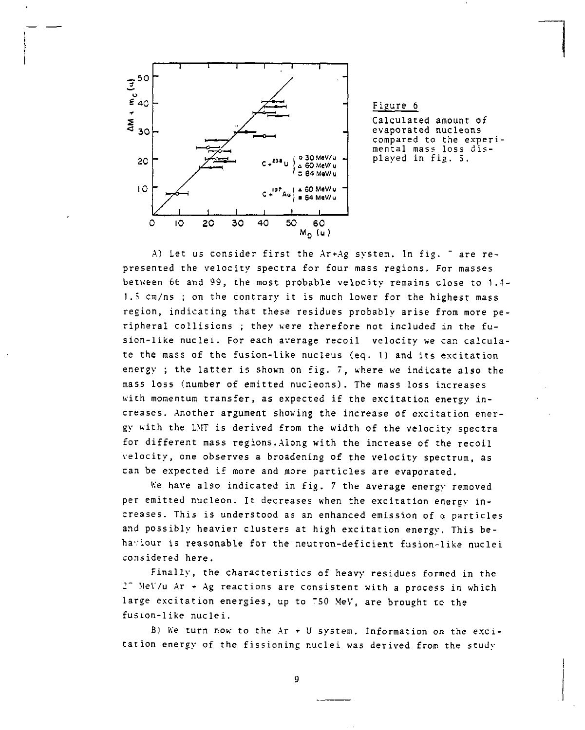

Figure 6 Calculated amount of evaporated nucléons compared to the experimental mass loss displayed in fig. 5.

A) Let us consider first the Ar+Ag system. In fig. " are represented the velocity spectra for four mass regions. For masses between 66 and 99, the most probable velocity remains close to 1.4- 1.3 cm/ns ; on the contrary it is much lower for the highest mass region, indicating that these residues probably arise from more peripheral collisions ; they were therefore not included in the fusion-like nuclei. For each average recoil velocity we can calculate the mass of the fusion-like nucleus (eq. 1) and its excitation energy ; the latter is shown on fig. 7, where we indicate also the mass loss (number of emitted nucleons). The mass loss increases with momentum transfer, as expected if the excitation energy increases. Another argument showing the increase of excitation energy with the LMT is derived from the width of the velocity spectra for different mass regions.Along with the increase of the recoil velocity, one observes a broadening of the velocity spectrum, as can be expected if more and more particles are evaporated.

We have also indicated in fig. 7 the average energy removed per emitted nucleon. It decreases when the excitation energy increases. This is understood as an enhanced emission of a particles and possibly heavier clusters at high excitation energy. This behaviour is reasonable for the neutron-deficient fusion-like nuclei considered here.

Finally, the characteristics of heavy residues formed in the 2" Me\'/u Ar + Ag reactions are consistent with a process in which large excitation energies, up to "SO MeV, are brought to the fusion-like nuclei.

B) We turn now to the  $Ar + U$  system. Information on the excitation energy of the fissioning nuclei was derived from the study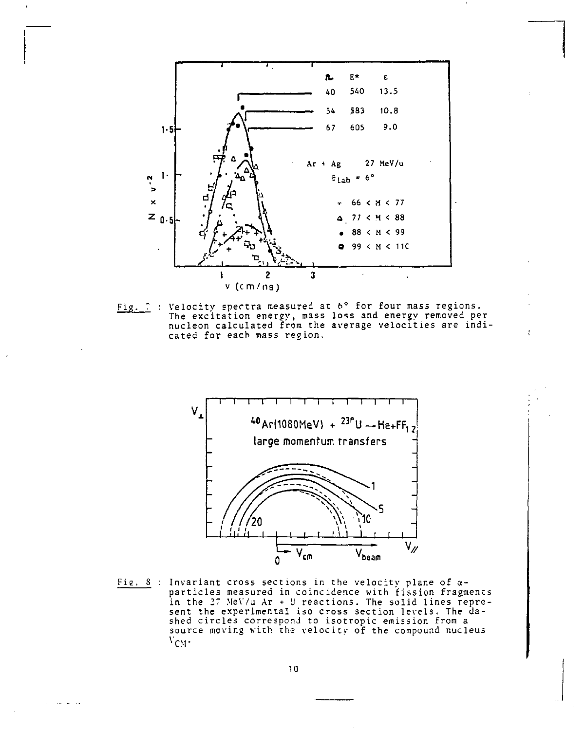

Fig. : Velocity spectra measured at 6° for four mass regions.<br>The excitation energy, mass loss and energy removed per<br>nucleon calculated from the average velocities are indicated for each mass region.

J



Fig. 8 : Invariant cross sections in the velocity plane of  $\alpha$ particles measured in coincidence with fission fragments in the 27 MeV/u Ar + U reactions. The solid lines represent the experimental iso cross section levels. The dashed circles correspond to isotropic emission from a source moving with the velocity of the compound nucleus  $V_{CM}$ .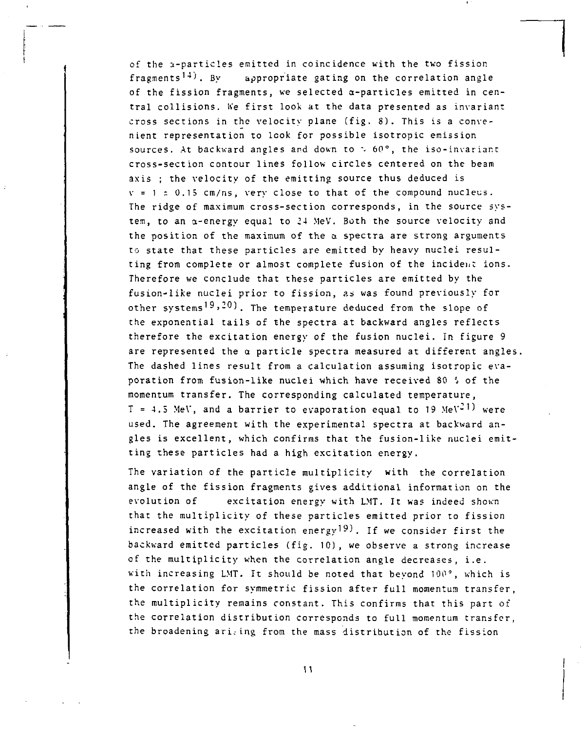of the s-particles emitted in coincidence with the two fission fragments<sup>14)</sup>. By appropriate gating on the correlation angle of the fission fragments, we selected a-particles emitted in central collisions. We first look at the data presented as invariant cross sections in the velocity plane (fig. 8). This is a convenient representation to look for possible isotropic emission sources. At backward angles and down to  $\sim 60^{\circ}$ , the iso-invariant cross-section contour lines follow circles centered on the beam axis ; the velocity of the emitting source thus deduced is  $v = 1 \pm 0.15$  cm/ns, very close to that of the compound nucleus. The ridge of maximum cross-section corresponds, in the source system, to an a-energy equal to 24 MeV. Both the source velocity and the position of the maximum of the a spectra are strong arguments to state that these particles are emitted by heavy nuclei resulting from complete or almost complete fusion of the incident ions. Therefore we conclude that these particles are emitted by the fusion-like nuclei prior to fission, as was found previously for other systems<sup>19</sup>,<sup>20</sup>). The temperature deduced from the slope of the exponential tails of the spectra at backward angles reflects therefore the excitation energy of the fusion nuclei. In figure 9 are represented the  $\alpha$  particle spectra measured at different angles. The dashed lines result from a calculation assuming isotropic evaporation from fusion-like nuclei which have received 80 â of the momentum transfer. The corresponding calculated temperature,  $T = 4.5$  MeV, and a barrier to evaporation equal to 19 MeV<sup>21</sup>) were used. The agreement with the experimental spectra at backward angles is excellent, which confirms that the fusion-like nuclei emitting these particles had a high excitation energy.

The variation of the particle multiplicity with the correlation angle of the fission fragments gives additional information on the evolution of excitation energy with LMT. It was indeed shown that the multiplicity of these particles emitted prior to fission increased with the excitation energy<sup>19)</sup>. If we consider first the backward emitted particles (fig. 10), we observe a strong increase of the multiplicity when the correlation angle decreases, i.e. with increasing LMT. It should be noted that beyond 100°, which is the correlation for symmetric fission after full momentum transfer, the multiplicity remains constant. This confirms that this part of the correlation distribution corresponds to full momentum transfer, the broadening ari. ing from the mass distribution of the fission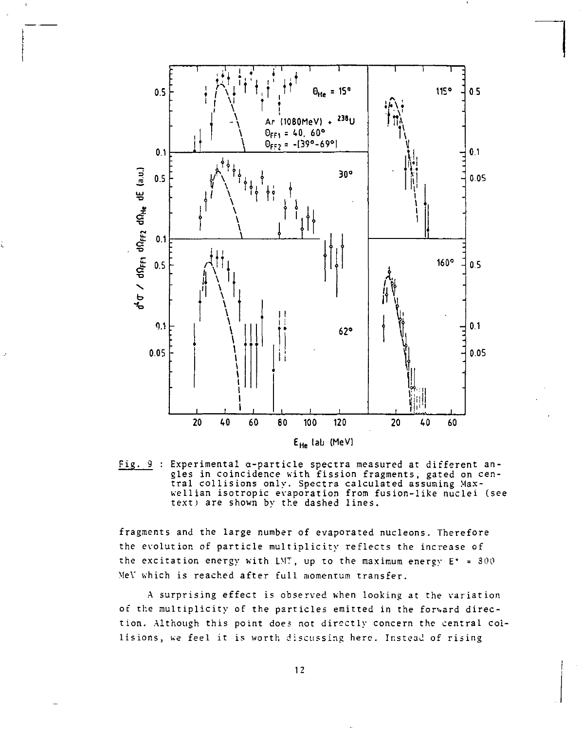

Fig. 9 : Experimental  $\alpha$ -particle spectra measured at different angles in coincidence with fission fragments, gated on central collisions only. Spectra calculated assuming Maxwellian isotropic evaporation from fusion-like nuclei (see text) are shown by the dashed lines.

fragments and the large number of evaporated nucleons. Therefore the evolution of particle multiplicity reflects the increase of the excitation energy with LMT, up to the maximum energy  $E^* = 300$ MeV which is reached after full momentum transfer.

A surprising effect is observed when looking at the variation of the multiplicity of the particles emitted in the forward direction. Although this point does not directly concern the central collisions, we feel it is worth discussing here. Instead of rising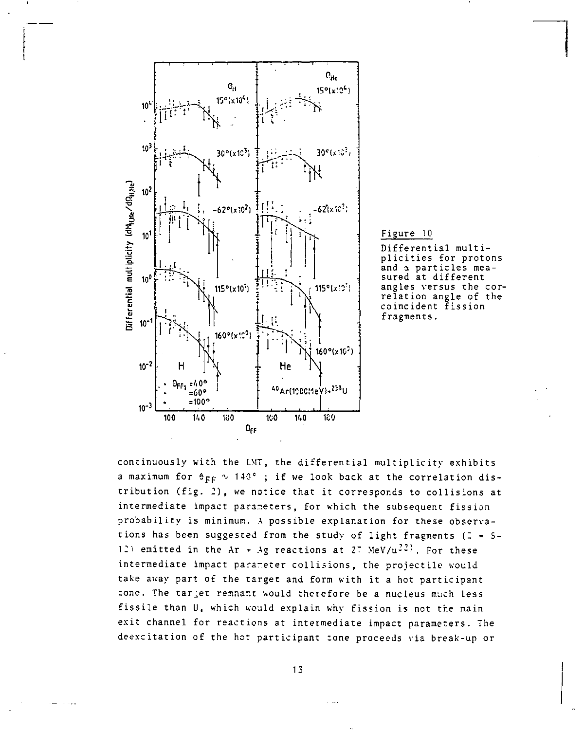

Figure 1Q

Differential multiplicities for protons and a particles measured at different angles versus the correlation angle of the coincident fission fragments.

continuously with the LMT, the differential multiplicity exhibits a maximum for  $\theta_{FF} \sim 140^{\circ}$ ; if we look back at the correlation distribution (fig. *2),* we notice that it corresponds to collisions at intermediate impact parameters, for which the subsequent fission probability is minimum. A possible explanation for these observations has been suggested from the study of light fragments (2 = 5-12) emitted in the Ar + Ag reactions at 27 MeV/u<sup>22)</sup>. For these intermediate impact parameter collisions, the projectile would take away part of the target and form with it a hot participant zone. The tar jet remnant would therefore be a nucleus much less fissile than U, which would explain why fission is not the main exit channel for reactions at intermediate impact parameters. The deexcitation of the hot participant zone proceeds via break-up or

13

 $\sim$  100  $\sigma$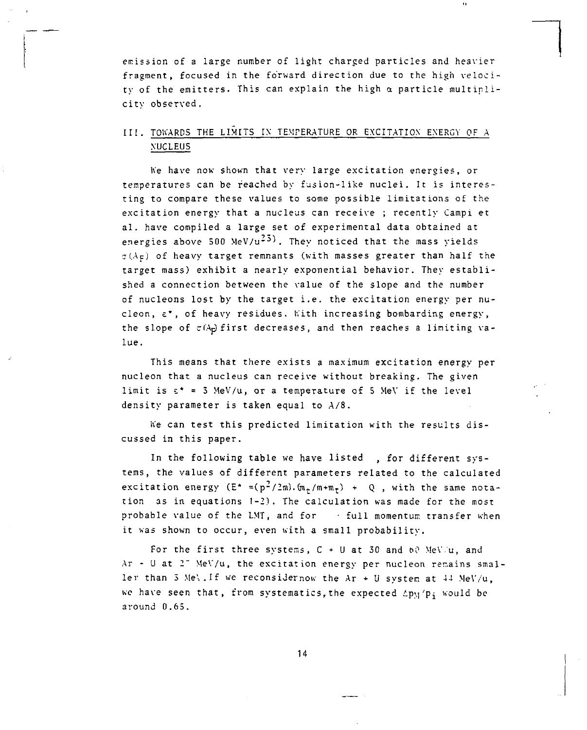emission of a large number of light charged particles and heavier fragment, focused in the forward direction due to the high velocity of the emitters. This can explain the high *a* particle multiplicity observed.

 $\alpha$ 

# III. TOWARDS THE LIMITS IX TEMPERATURE OR EXCITATION ENERGY OF A NUCLEUS

Ke have now shown that very large excitation energies, or temperatures can be reached by fusion-like nuclei. It is interesting to compare these values to some possible limitations of the excitation energy that a nucleus can receive ; recently Campi et al. have compiled a large set of experimental data obtained at energies above 500 MeV/ $u^{23}$ ). They noticed that the mass yields  $\sigma(A_F)$  of heavy target remnants (with masses greater than half the target mass) exhibit a nearly exponential behavior. They established a connection between the value of the slope and the number of nucleons lost by the target i.e. the excitation energy per nucleon,  $\varepsilon^*$ , of heavy residues. With increasing bombarding energy, the slope of  $\sigma(A_p)$  first decreases, and then reaches a limiting value.

This means that there exists a maximum excitation energy per nucleon that a nucleus can receive without breaking. The given limit is  $\varepsilon^* = 3$  MeV/u, or a temperature of 5 MeV if the level density parameter is taken equal to A/8.

IVe can test this predicted limitation with the results discussed in this paper.

In the following table we have listed , for different systems, the values of different parameters related to the calculated excitation energy  $(E^* = (p^2/2m) \cdot (m_t/m+m_t) + Q$ , with the same notation as in equations 1-2). The calculation was made for the most probable value of the LMT, and for • full momentum transfer when it was shown to occur, even with a small probability.

For the first three systems,  $C + U$  at 30 and 60 MeV/u, and  $Ar - U$  at  $2<sup>-</sup>$  MeV/u, the excitation energy per nucleon remains smaller than  $3$  Me'. If we reconsidernow the Ar + U system at  $44$  MeV/u, we have seen that, from systematics, the expected  $\Delta$ p $\gamma$ 'p<sub>i</sub> would be around 0.63.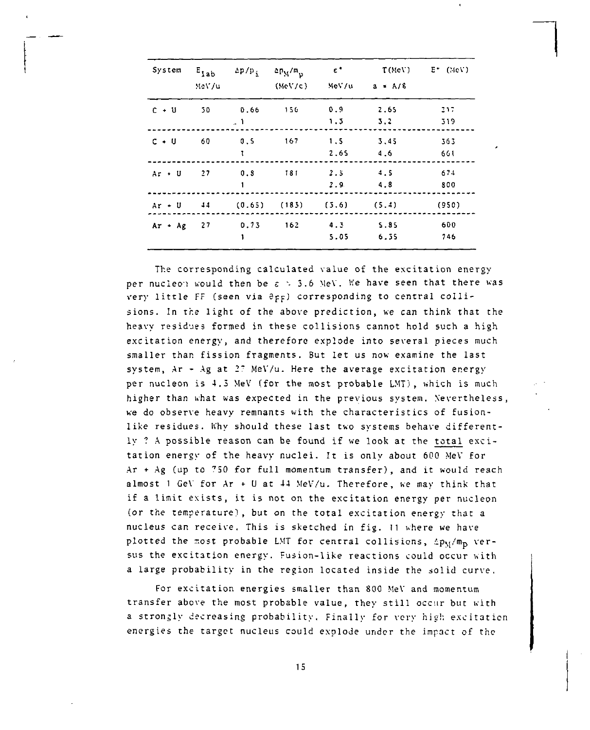| System       | $E_{lab}$<br>MeV/u | $\Delta p/p$ ;   | $2P_M/m_p$<br>(MeV/c) | $\epsilon$ .                       | $MeV/u$ $a = A/8$ | $T(MeV)$ $E^*$ (MeV) |
|--------------|--------------------|------------------|-----------------------|------------------------------------|-------------------|----------------------|
| $C + U$      | 50                 | 0,66 150<br>- 1  |                       | 0.9<br>1.3                         | 2.65<br>5.2       | 317<br>319           |
| $C + U$      | 60                 | 0.5<br>1         | 167                   | 1.5<br>2.65                        | 3.45<br>4.6       | 363<br>661           |
| $Ar + U$     | 27                 | 1                | $0.8$ 181             | 2.5<br>$2.9 -$                     | 4.5<br>4.8        | 674<br>800           |
|              |                    |                  |                       | Ar + U 44 (0.65) (183) (3.6) (5.4) |                   | (950)                |
| $Ar + Ag$ 27 |                    | $0.73$ 162<br>1. |                       | 4.3 5.85<br>5.05                   | 6.35              | 600<br>746           |

The corresponding calculated value of the excitation energy per nucleon would then be  $\varepsilon > 3.6$  MeV. We have seen that there was very little FF (seen via  $\partial_{FF}$ ) corresponding to central collisions. In the light of the above prediction, we can think that the heavy residues formed in these collisions cannot hold such a high excitation energy, and therefore explode into several pieces much smaller than fission fragments. But let us now examine the last system, Ar - Ag at 2? MeV/u. Here the average excitation energy per nucleon is 4.5 MeV (for the most probable LMT), which is much higher than what was expected in the previous system. Nevertheless, we do observe heavy remnants with the characteristics of fusionlike residues. Why should these last two systems behave differently ? A possible reason can be found if we look at the total excitation energy of the heavy nuclei. It is only about 600 MeV for Ar  $+$  Ag (up to  $750$  for full momentum transfer), and it would reach almost 1 GeV for  $Ar + U$  at  $44$  MeV/u. Therefore, we may think that if a limit exists, it is not on the excitation energy per nucleon (or the temperature), but on the total excitation energy that a nucleus can receive. This is sketched in fig. 11 where we have plotted the most probable LMT for central collisions,  $4p_M/m_p$  versus the excitation energy. Fusion-like reactions could occur with a large probability in the region located inside the solid curve.

For excitation energies smaller than 800 MeV and momentum transfer above the most probable value, they still occur but with a strongly decreasing probability. Finally for very high excitation energies the target nucleus could explode under the impact of the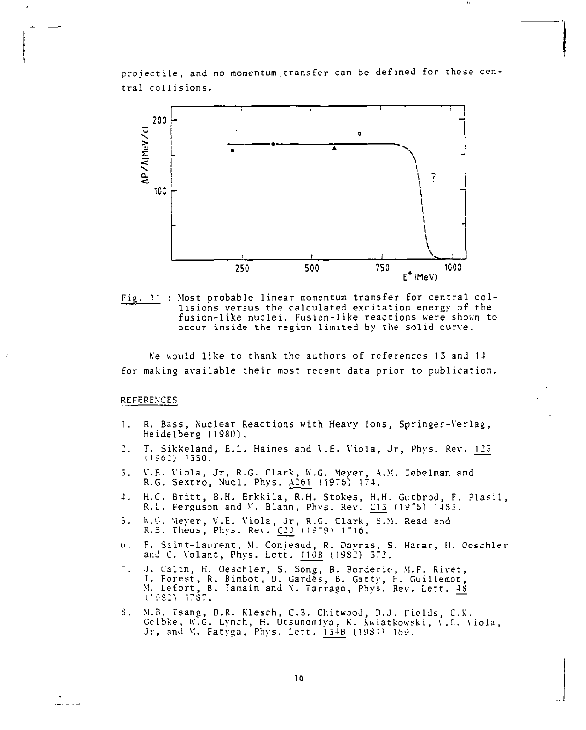projectile, and no momentum transfer can be defined for these central collisions.



Fig. 11 : Most probable linear momentum transfer for central collisions versus the calculated excitation energy of the fusion-like nuclei. Fusion-like reactions were shown to occur inside the region limited by the solid curve.

We would like to thank the authors of references 15 and 14 for making available their most recent data prior to publication.

### REFERENCES

- R. Bass, Nuclear Reactions with Heavy Ions, Springer-Verlag,  $1.1$ Heidelberg (1980).
- T. Sikkeland, E.L. Haines and V.E. Viola, Jr, Phys. Rev. 125 2.,  $(1962)$  1550.
- V.E. Viola, Jr, R.G. Clark, W.G. Meyer, A.M. Jebelman and R.G. Sextro, Nucl. Phys.  $\frac{\lambda 261}{\lambda 261}$  (1976) 174. 5.
- H.C. Britt, B.H. Erkkila, R.H. Stokes, H.H. Gutbrod, F. Plasil,  $\ddot{=}$ . R.L. Ferguson and M. Blann, Phys. Rev. C13 (1976) 1483.
- W.G. Meyer, V.E. Viola, Jr, R.G. Clark, S.M. Read and R.S. Theus, Phys. Rev. C20 (1979) 1716.  $5.$
- F. Saint-Laurent, M. Conjeaud, R. Dayras, S. Harar, H. Oeschler  $\mathfrak{b}$ . and C. Volant, Phys. Lett. 110B (1982) 572.
- J. Calin, H. Oeschler, S. Song, B. Rorderie, M.F. Rivet, I. Forest, R. Bimbot, D. Gardès, B. Gatty, H. Guillemot, M. Lefort, B. Tamain and X. Tarrago, Phys. Rev. Lett.  $\frac{13}{15}$
- S. M.B. Tsang, D.R. Klesch, C.B. Chitwood, D.J. Fields, C.K. Gelbke, W.G. Lynch, H. Utsunomiya, K. Kwiatkowski, V.E. Viola, Jr, and M. Fatyga, Phys. Lett. 154B (1984) 169.